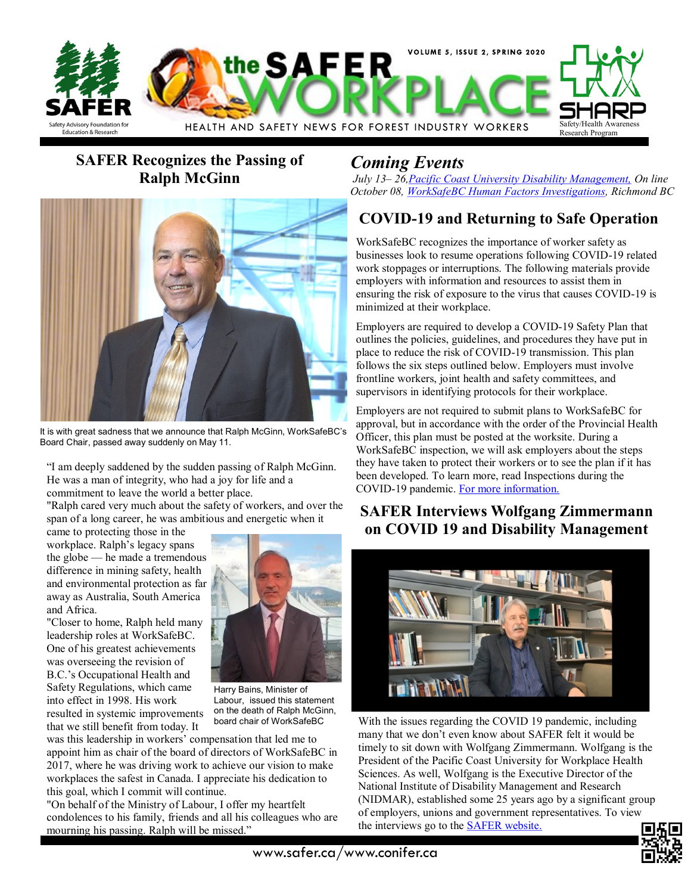

# **SAFER Recognizes the Passing of Ralph McGinn**



It is with great sadness that we announce that Ralph McGinn, WorkSafeBC's Board Chair, passed away suddenly on May 11.

"I am deeply saddened by the sudden passing of Ralph McGinn. He was a man of integrity, who had a joy for life and a commitment to leave the world a better place.

"Ralph cared very much about the safety of workers, and over the span of a long career, he was ambitious and energetic when it

came to protecting those in the workplace. Ralph's legacy spans the globe — he made a tremendous difference in mining safety, health and environmental protection as far away as Australia, South America and Africa.

"Closer to home, Ralph held many leadership roles at WorkSafeBC. One of his greatest achievements was overseeing the revision of B.C.'s Occupational Health and Safety Regulations, which came into effect in 1998. His work resulted in systemic improvements that we still benefit from today. It



Harry Bains, Minister of Labour, issued this statement on the death of Ralph McGinn, board chair of WorkSafeBC

was this leadership in workers' compensation that led me to appoint him as chair of the board of directors of WorkSafeBC in 2017, where he was driving work to achieve our vision to make workplaces the safest in Canada. I appreciate his dedication to this goal, which I commit will continue.

"On behalf of the Ministry of Labour, I offer my heartfelt condolences to his family, friends and all his colleagues who are mourning his passing. Ralph will be missed."

# *Coming Events*

*July 13– 26[,Pacific Coast University Disability Management,](https://www.pcu-whs.ca/2020/05/new-special-online-course-looking-forward-moving-change-and-innovation-in-workplace-health-systems-july-2020/) On line October 08, [WorkSafeBC Human Factors Investigations,](https://www.worksafebc.com/en/about-us/news-events/calendar/2020/October/human-factors-approach-to-safety-and-incident-investigations-2020) Richmond BC*

# **COVID-19 and Returning to Safe Operation**

WorkSafeBC recognizes the importance of worker safety as businesses look to resume operations following COVID-19 related work stoppages or interruptions. The following materials provide employers with information and resources to assist them in ensuring the risk of exposure to the virus that causes COVID-19 is minimized at their workplace.

Employers are required to develop a COVID-19 Safety Plan that outlines the policies, guidelines, and procedures they have put in place to reduce the risk of COVID-19 transmission. This plan follows the six steps outlined below. Employers must involve frontline workers, joint health and safety committees, and supervisors in identifying protocols for their workplace.

Employers are not required to submit plans to WorkSafeBC for approval, but in accordance with the order of the Provincial Health Officer, this plan must be posted at the worksite. During a WorkSafeBC inspection, we will ask employers about the steps they have taken to protect their workers or to see the plan if it has been developed. To learn more, read Inspections during the COVID-19 pandemic. [For more information.](https://www.worksafebc.com/en/about-us/covid-19-updates/covid-19-returning-safe-operation)

### **SAFER Interviews Wolfgang Zimmermann on COVID 19 and Disability Management**



With the issues regarding the COVID 19 pandemic, including many that we don't even know about SAFER felt it would be timely to sit down with Wolfgang Zimmermann. Wolfgang is the President of the Pacific Coast University for Workplace Health Sciences. As well, Wolfgang is the Executive Director of the National Institute of Disability Management and Research (NIDMAR), established some 25 years ago by a significant group of employers, unions and government representatives. To view the interviews go to the [SAFER website.](https://www.safer.ca/wellness/disability-programs.htm)



www.safer.ca/www.conifer.ca